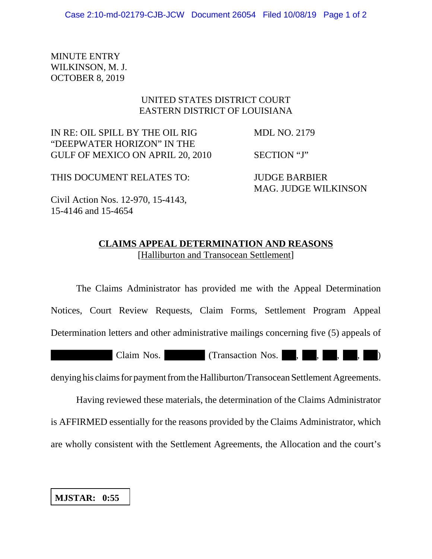MINUTE ENTRY WILKINSON, M. J. OCTOBER 8, 2019

## UNITED STATES DISTRICT COURT EASTERN DISTRICT OF LOUISIANA

IN RE: OIL SPILL BY THE OIL RIG MDL NO. 2179 "DEEPWATER HORIZON" IN THE GULF OF MEXICO ON APRIL 20, 2010 SECTION "J"

THIS DOCUMENT RELATES TO: JUDGE BARBIER MAG. JUDGE WILKINSON

Civil Action Nos. 12-970, 15-4143, 15-4146 and 15-4654

## **CLAIMS APPEAL DETERMINATION AND REASONS** [Halliburton and Transocean Settlement]

The Claims Administrator has provided me with the Appeal Determination Notices, Court Review Requests, Claim Forms, Settlement Program Appeal Determination letters and other administrative mailings concerning five (5) appeals of Claim Nos. (Transaction Nos., , , , , ,

denying his claims for payment from the Halliburton/Transocean Settlement Agreements.

Having reviewed these materials, the determination of the Claims Administrator is AFFIRMED essentially for the reasons provided by the Claims Administrator, which are wholly consistent with the Settlement Agreements, the Allocation and the court's

**MJSTAR: 0:55**